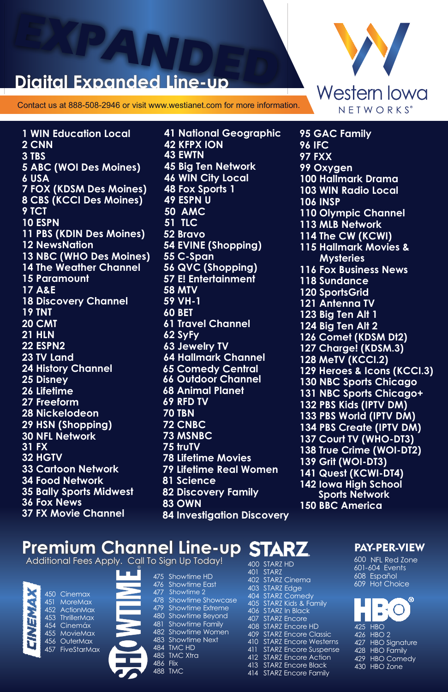# **EXPANDED**

Contact us at 888-508-2946 or visit www.westianet.com for more information.

**1 WIN Education Local 2 CNN 3 TBS 5 ABC (WOI Des Moines) 6 USA 7 FOX (KDSM Des Moines) 8 CBS (KCCI Des Moines) 9 TCT 10 ESPN 11 PBS (KDIN Des Moines) 12 NewsNation 13 NBC (WHO Des Moines) 14 The Weather Channel 15 Paramount 17 A&E 18 Discovery Channel 19 TNT 20 CMT 21 HLN 22 ESPN2 23 TV Land 24 History Channel 25 Disney 26 Lifetime 27 Freeform 28 Nickelodeon 29 HSN (Shopping) 31 FX 32 HGTV 34 Food Network 35 Bally Sports Midwest 36 Fox News 37 FX Movie Channel 30 NFL Network 33 Cartoon Network** 

**46 WIN City Local 41 National Geographic 42 KFPX ION 43 EWTN 45 Big Ten Network 48 Fox Sports 1 49 ESPN U 50 AMC 51 TLC 52 Bravo 54 EVINE (Shopping) 55 C-Span 56 QVC (Shopping) 57 E! Entertainment 58 MTV 59 VH-1 60 BET 61 Travel Channel 62 SyFy 64 Hallmark Channel 65 Comedy Central 66 Outdoor Channel 68 Animal Planet 69 RFD TV 72 CNBC 73 MSNBC 75 truTV 78 Lifetime Movies 79 Lifetime Real Women 81 Science 82 Discovery Family 83 OWN 84 Investigation Discovery 70 TBN 63 Jewelry TV**



**103 WIN Radio Local 99 Oxygen 113 MLB Network 114 The CW (KCWI) 115 Hallmark Movies & Mysteries 116 Fox Business News 120 SportsGrid 121 Antenna TV 123 Big Ten Alt 1 124 Big Ten Alt 2 126 Comet (KDSM Dt2) 127 Charge! (KDSM.3) 128 MeTV (KCCI.2) 129 Heroes & Icons (KCCI.3) 130 NBC Sports Chicago 131 NBC Sports Chicago+ 97 FXX 110 Olympic Channel 132 PBS Kids (IPTV DM) 133 PBS World (IPTV DM) 134 PBS Create (IPTV DM) 100 Hallmark Drama 106 INSP 137 Court TV (WHO-DT3) 138 True Crime (WOI-DT2) 139 Grit (WOI-DT3) 141 Quest (KCWI-DT4) 142 Iowa High School Sports Network 96 IFC 118 Sundance 150 BBC America 95 GAC Family** 

### **Premium Channel Line-up**

Additional Fees Apply. Call To



| Cinemax            |
|--------------------|
| <b>MoreMax</b>     |
| <b>ActionMax</b>   |
| <b>ThrillerMax</b> |
| Cinemáx            |
| MovieMax           |
| OuterMax           |
| <b>FiveStarMa</b>  |
|                    |
|                    |
|                    |

| ٠ |
|---|
|   |

|          | o Sign Up Today!        |
|----------|-------------------------|
| 475      | Showtime HD             |
| 476      | Showtime East           |
| 477      | Showtime 2              |
| 478      | Showtime Showcase       |
| 479      | <b>Showtime Extreme</b> |
| 480      | <b>Showtime Beyond</b>  |
| 481      | <b>Showtime Family</b>  |
| 482      | Showtime Women          |
| 483      | Showtime Next           |
| 484      | TMC HD                  |
|          | 485 TMC Xtra            |
| 486 Flix |                         |
|          | 488 TMC                 |
|          |                         |

| 400 | <b>STARZ HD</b>                |
|-----|--------------------------------|
| 401 | <b>STARZ</b>                   |
| 402 | STARZ Cinema                   |
| 403 | <b>STARZ</b> Edge              |
| 404 | <b>STARZ Comedv</b>            |
| 405 | <b>STARZ Kids &amp; Family</b> |
| 406 | STARZ In Black                 |
| 407 | <b>STARZ Encore</b>            |
| 408 | STARZ Encore HD                |
| 409 | <b>STARZ Encore Classic</b>    |
| 410 | <b>STARZ Encore Westerns</b>   |
| 411 | <b>STARZ</b> Encore Suspense   |
| 412 | STARZ Encore Action            |
| 413 | <b>STARZ Encore Black</b>      |
| 414 | <b>STARZ Encore Family</b>     |
|     |                                |

#### PAY-PER-VIEW

600 NFL Red Zone 601-604 Events 608 Español 609 Hot Choice

| œ                 |
|-------------------|
| 425 HBO           |
| 426 HBO 2         |
| 427 HBO Signature |
| 428 HBO Family    |
| 429 HBO Comedy    |
| 430 HBO Zone      |